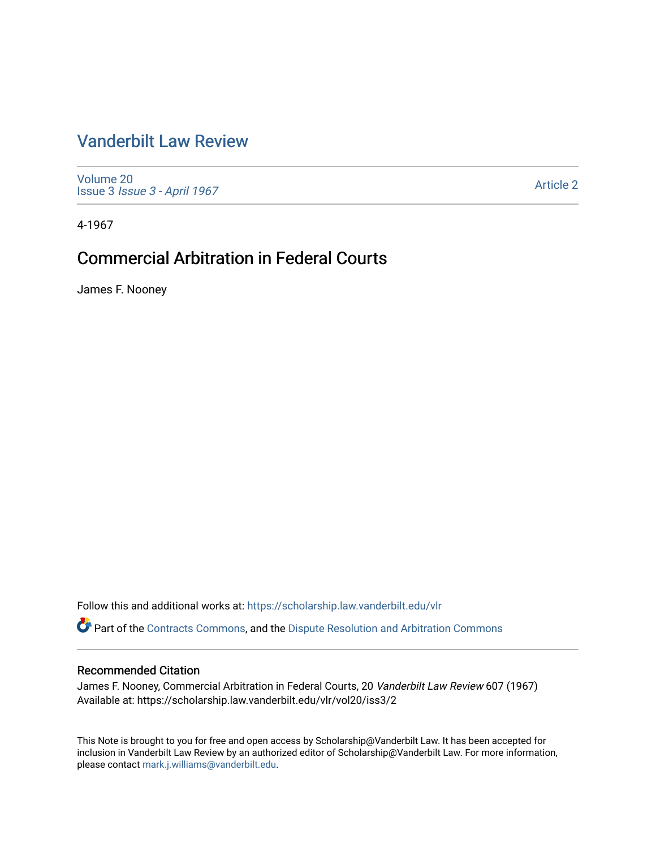# [Vanderbilt Law Review](https://scholarship.law.vanderbilt.edu/vlr)

[Volume 20](https://scholarship.law.vanderbilt.edu/vlr/vol20) Issue 3 [Issue 3 - April 1967](https://scholarship.law.vanderbilt.edu/vlr/vol20/iss3)

[Article 2](https://scholarship.law.vanderbilt.edu/vlr/vol20/iss3/2) 

4-1967

# **Commercial Arbitration in Federal Courts**

James F. Nooney

Follow this and additional works at: [https://scholarship.law.vanderbilt.edu/vlr](https://scholarship.law.vanderbilt.edu/vlr?utm_source=scholarship.law.vanderbilt.edu%2Fvlr%2Fvol20%2Fiss3%2F2&utm_medium=PDF&utm_campaign=PDFCoverPages)

Part of the [Contracts Commons](http://network.bepress.com/hgg/discipline/591?utm_source=scholarship.law.vanderbilt.edu%2Fvlr%2Fvol20%2Fiss3%2F2&utm_medium=PDF&utm_campaign=PDFCoverPages), and the [Dispute Resolution and Arbitration Commons](http://network.bepress.com/hgg/discipline/890?utm_source=scholarship.law.vanderbilt.edu%2Fvlr%2Fvol20%2Fiss3%2F2&utm_medium=PDF&utm_campaign=PDFCoverPages) 

# Recommended Citation

James F. Nooney, Commercial Arbitration in Federal Courts, 20 Vanderbilt Law Review 607 (1967) Available at: https://scholarship.law.vanderbilt.edu/vlr/vol20/iss3/2

This Note is brought to you for free and open access by Scholarship@Vanderbilt Law. It has been accepted for inclusion in Vanderbilt Law Review by an authorized editor of Scholarship@Vanderbilt Law. For more information, please contact [mark.j.williams@vanderbilt.edu.](mailto:mark.j.williams@vanderbilt.edu)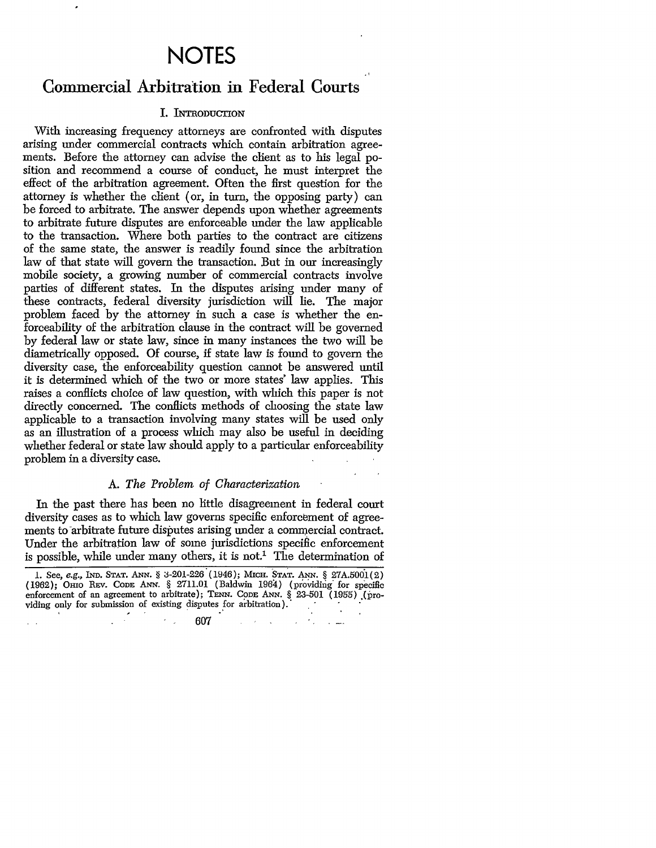# **NOTES**

# Commercial Arbitration in Federal Courts

# I. INTRODUCTION

With increasing frequency attorneys are confronted with disputes arising under commercial contracts which contain arbitration agreements. Before the attorney can advise the client as to his legal position and recommend a course of conduct, he must interpret the effect of the arbitration agreement. Often the first question for the attorney is whether the client (or, in turn, the opposing party) can be forced to arbitrate. The answer depends upon whether agreements to arbitrate future disputes are enforceable under the law applicable to the transaction. Where both parties to the contract are citizens of the same state, the answer is readily found since the arbitration law of that state will govern the transaction. But in our increasingly mobile society, a growing number of commercial contracts involve parties of different states. In the disputes arising under many of these contracts, federal diversity jurisdiction will lie. The major problem faced by the attorney in such a case is whether the enforceability of the arbitration clause in the contract will be governed by federal law or state law, since in many instances the two will be diametrically opposed. Of course, if state law is found to govern the diversity case, the enforceability question cannot be answered until it is determined which of the two or more states' law applies. This raises a conflicts choice of law question, with which this paper is not directly concerned. The conflicts methods of choosing the state law applicable to a transaction involving many states will be used only as an illustration of a process which may also be useful in deciding whether federal or state law should apply to a particular enforceability problem in a diversity case.

# *A. The Problem of Characterization*

In the past there has been no little disagreement in federal court diversity cases as to which law governs specific enforcement of agreements to arbitrate future disputes arising under a commercial contract. Under the arbitration law of some jurisdictions specific enforcement is possible, while under many others, it is not.<sup>1</sup> The determination of

 $\frac{1}{2} \left( \frac{1}{2} \right)^2 \left( \frac{1}{2} \right)^2$ 

 $\lambda_{\rm max}$ 607

**<sup>1.</sup>** See, e.g., **IND. STAT. ANN. § 3-201-226** (1946); **MIcH. STAT. ANN.** § 27A.5001(2) **(1962); Omo REv. CODE ANN.** § 2711.01 (Baldwin 1964) (prov'idiig' for specific enforcement of an agreement to arbitrate); TENN. CODE ANN. § 23-501 (1955) (providing only for submission of existing disputes for arbitration). viding only for submission of existing disputes for arbitration).<br>  $607$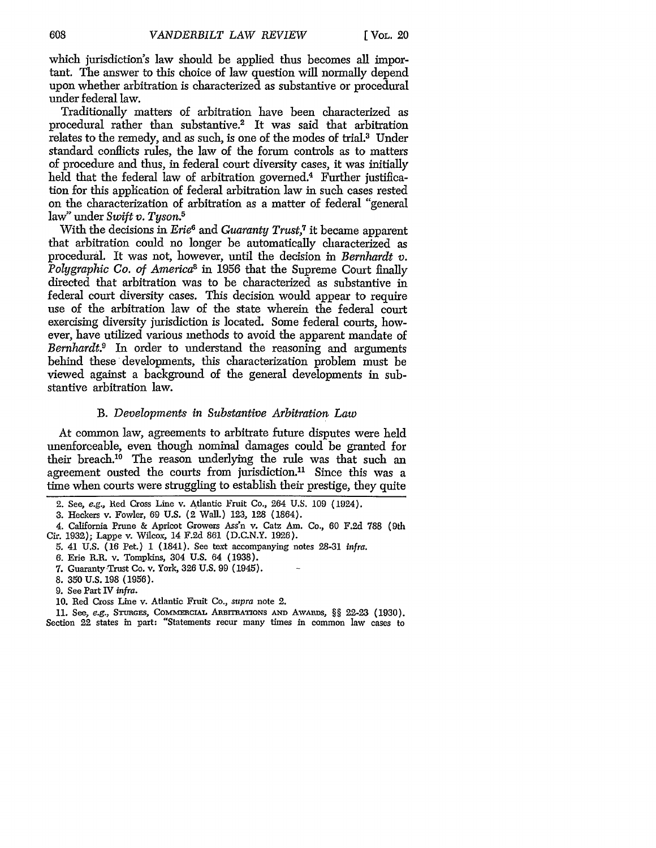which jurisdiction's law should be applied thus becomes all important. The answer to this choice of law question will normally depend upon whether arbitration is characterized as substantive or procedural under federal law.

Traditionally matters of arbitration have been characterized as procedural rather than substantive.2 It was said that arbitration relates to the remedy, and as such, is one of the modes of trial.3 Under standard conflicts rules, the law of the forum controls as to matters of procedure and thus, in federal court diversity cases, it was initially held that the federal law of arbitration governed.<sup>4</sup> Further justification for this application of federal arbitration law in such cases rested on the characterization of arbitration as a matter of federal "general law" under *Swift v. Tyson.5*

With the decisions in *Erie6* and *Guaranty Trust,7* it became apparent that arbitration could no longer be automatically characterized as procedural. It was not, however, until the decision in *Bernhardt v. Polygraphic Co. of America8* in 1956 that the Supreme Court finally directed that arbitration was to be characterized as substantive in federal court diversity cases. This decision would appear to require use of the arbitration law of the state wherein the federal court exercising diversity jurisdiction is located. Some federal courts, however, have utilized various methods to avoid the apparent mandate of *Bernhardt.9* In order to understand the reasoning and arguments behind these developments, this characterization problem must be viewed against a background of the general developments in substantive arbitration law.

## *B. Developments in Substantive Arbitration Law*

At common law, agreements to arbitrate future disputes were held unenforceable, even though nominal damages could be granted for their breach.<sup>10</sup> The reason underlying the rule was that such an agreement ousted the courts from jurisdiction.<sup>11</sup> Since this was a time when courts were struggling to establish their prestige, they quite

Section 22 states in part: "Statements recur many times in common law cases to

<sup>2.</sup> See, *e.g.,* lied Cross Line v. Atlantic Fruit Co., 264 U.S. 109 (1924).

<sup>3.</sup> Heckers v. Fowler, **69** U.S. (2 Wall.) 123, 128 (1864).

<sup>4.</sup> California Prune & Apricot Growers Ass'n v. Catz Am. Co., 60 F.2d 788 (9th Cir. 1932); Lappe v. Wilcox, 14 F.2d 861 (D.C.N.Y. 1926).

*<sup>5.</sup>* 41 U.S. (16 Pet.) 1 (1841). See text accompanying notes 28-31 *infra.*

<sup>6.</sup> Erie R.R. v. Tompkins, 304 U.S. 64 (1938).

<sup>7.</sup> Guaranty-Trust Co. v. York, 326 U.S. 99 (1945).

<sup>8.</sup> **350** U.S. 198 (1956).

<sup>9.</sup> See Part IV *infra.*

<sup>10.</sup> Red Cross Line v. Atlantic Fruit Co., *supra* note 2.

<sup>11.</sup> See, e.g., STURGES, COMMERCIAL ARBITRATIONS AND AWARDS, §§ 22-23 (1930).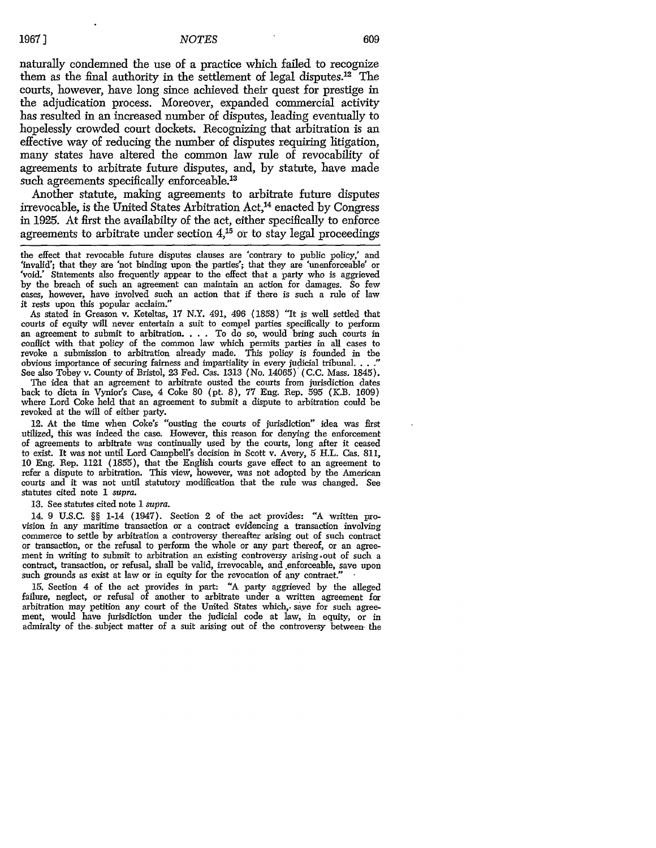#### *NOTES*

naturally condemned the use of a practice which failed to recognize them as the final authority in the settlement of legal disputes. $12$  The courts, however, have long since achieved their quest for prestige in the adjudication process. Moreover, expanded commercial activity has resulted in an increased number of disputes, leading eventually to hopelessly crowded court dockets. Recognizing that arbitration is an effective way of reducing the number of disputes requiring litigation, many states have altered the common law rule of revocability of agreements to arbitrate future disputes, and, by statute, have made such agreements specifically enforceable.<sup>13</sup>

Another statute, making agreements to arbitrate future disputes irrevocable, is the United States Arbitration Act,<sup>14</sup> enacted by Congress in 1925. At first the availabilty of the act, either specifically to enforce agreements to arbitrate under section  $4<sup>15</sup>$  or to stay legal proceedings

the effect that revocable future disputes clauses are 'contrary to public policy,' and 'invalid'; that they are 'not binding upon the parties'; that they are 'unenforceable' or 'void.' Statements also frequently appear to the effect that a party who is aggrieved by the breach of such an agreement can maintain an action for damages. So few cases, however, have involved such an action that if there is such a rule of law it rests upon this popular acclaim."

As stated in Greason v. Keteltas, 17 N.Y. 491, 496 (1858) "It is well settled that courts of equity will never entertain a suit to compel parties specifically to perform an agreement to submit to arbitration. . **.** . To do so, would bring such courts in conflict with that policy of the common law which permits parties in all cases to revoke a submission to arbitration already made. This policy is founded in the obvious importance of securing fairness and impartiality in every judicial tribunal. . . ." See also Tobey v. County of Bristol, 23 Fed. Cas. 1313 (No. 14065) (C.C. Mass. 1845).

The idea that an agreement to arbitrate ousted the courts from jurisdiction dates back to dicta in Vynior's Case, 4 Coke 80 (pt. 8), 77 Eng. Rep. 595 (K.B. 1609) where Lord Coke held that an agreement to submit a dispute to arbitration could be revoked at the will of either party.

12. At the time when Coke's "ousting the courts of jurisdiction" idea was first utilized, this was indeed the case. However, this reason for denying the enforcement of agreements to arbitrate was continually used by the courts, long after it ceased to exist. It was not until Lord Campbell's decision in Scott v. Avery, 5 H.L. Cas. 811, 10 Eng. Rep. 1121 (1855), that the English courts gave effect to an agreement to refer a dispute to arbitration. This view, however, was not adopted by the American courts and it was not until statutory modification that the rule was changed. See statutes cited note 1 supra.

13. See statutes cited note *I supra.*

14. 9 U.S.C. §§ 1-14 (1947). Section 2 of the act provides: **"A** written provision in any maritime transaction or a contract evidencing a transaction involving or transaction, or the refusal to perform the whole or any part thereof, or an agreement in writing to submit to arbitration an existing controversy arising-out of such a contract, transaction, or refusal, shall be valid, irrevocable, and enforceable, save upon such grounds as exist at law or in equity for the revocation of any contraet.

15. Section 4 of the act provides in part: "A party aggrieved by the alleged failure, neglect, or refusal of another to arbitrate under a written agreement for arbitration may petition any court of the United States which,. save for such agreement, would have jurisdiction under the judicial code at law, in equity, or in admiralty of the subject matter of a suit arising out of the controversy between the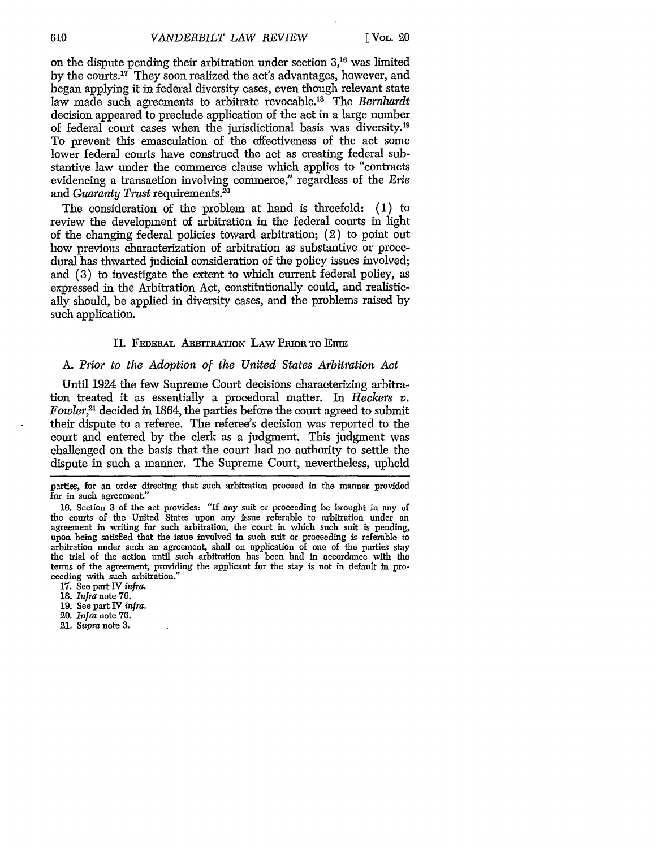**on** the dispute pending their arbitration under section **3,16** was limited by the courts.<sup>17</sup> They soon realized the act's advantages, however, and began applying it in federal diversity cases, even though relevant state law made such agreements to arbitrate revocable.<sup>18</sup> The *Bernhardt* decision appeared to preclude application of the act in a large number of federal court cases when the jurisdictional basis was diversity.<sup>19</sup> To prevent this emasculation of the effectiveness of the act some lower federal courts have construed the act as creating federal substantive law under the commerce clause which applies to "contracts evidencing a transaction involving commerce," regardless of the *Erie* and *Guaranty Trust* requirements.<sup>20</sup>

The consideration of the problem at hand is threefold: (1) to review the development of arbitration in the federal courts in light of the changing federal policies toward arbitration; (2) to point out how previous characterization of arbitration as substantive or procedural has thwarted judicial consideration of the policy issues involved; and (3) to investigate the extent to which current federal policy, as expressed in the Arbitration Act, constitutionally could, and realistically should, be applied in diversity cases, and the problems raised by such application.

## II. FEDERAL ARBITRATION LAW PRIOR TO ERIE

## A. *Prior to the Adoption of the United States Arbitration Act*

Until 1924 the few Supreme Court decisions characterizing arbitration treated it as essentially a procedural matter. In *Reckers v. Fowler,2'* decided in 1864, the parties before the court agreed to submit their dispute to a referee. The referee's decision was reported to the court and entered by the clerk as a judgment. This judgment was challenged on the basis that the court had no authority to settle the dispute in such a manner. The Supreme Court, nevertheless, upheld

parties, for an order directing that such arbitration proceed in the manner provided for in such agreement."

16. Section 3 of the act provides: "If any suit or proceeding **be** brought in any of the courts of the United States upon any issue referable to arbitration under an agreement in writing for such arbitration, the court in which such suit is pending, upon being satisfied that the issue involved in such suit or proceeding is referable to arbitration under such an agreement, shall on application of one of the parties stay the trial of the action until such arbitration has been had in accordance with the terms of the agreement, providing the applicant for the stay is not in default in proceeding with such arbitration.'

17. See part IV *infra.*

18. *Infra* note 76.

- 19. See part IV *infra.*
- 20. *Infra* note 76.
- 21. *Supra* note 3.

610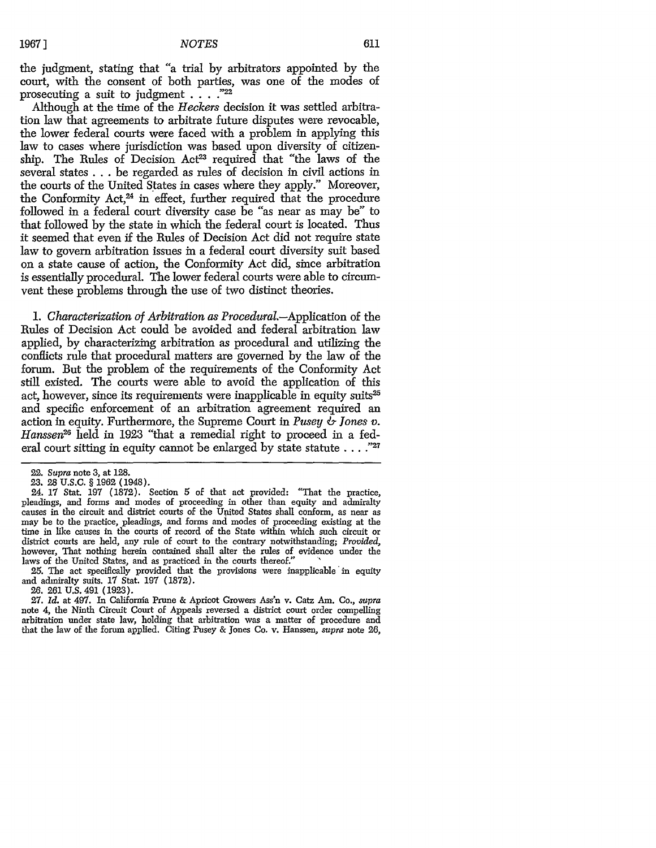the judgment, stating that "a trial by arbitrators appointed by the court, with the consent of both parties, was one of the modes of prosecuting a suit to judgment **.... "22**

Although at the time of the *Heckers* decision it was settled arbitration law that agreements to arbitrate future disputes were revocable, the lower federal courts were faced with a problem in applying this law to cases where jurisdiction was based upon diversity of citizenship. The Rules of Decision Act<sup>23</sup> required that "the laws of the several states **...** be regarded as rules of decision in civil actions in the courts of the United States in cases where they apply." Moreover, the Conformity Act,<sup>24</sup> in effect, further required that the procedure followed in a federal court diversity case be "as near as may be" to that followed by the state in which the federal court is located. Thus it seemed that even if the Rules of Decision Act did not require state law to govern arbitration issues in a federal court diversity suit based on a state cause of action, the Conformity Act did, since arbitration is essentially procedural. The lower federal courts were able to circumvent these problems through the use of two distinct theories.

*1. Characterization of Arbitration as Procedural.-Application* of the Rules of Decision Act could be avoided and federal arbitration law applied, by characterizing arbitration as procedural and utilizing the conflicts rule that procedural matters are governed by the law of the forum. But the problem of the requirements of the Conformity Act still existed. The courts were able to avoid the application of this act, however, since its requirements were inapplicable in equity suits<sup>25</sup> and specific enforcement of an arbitration agreement required an action in equity. Furthermore, the Supreme Court in *Pusey & Jones v. Hanssen26* held in 1923 "that a remedial right to proceed in a federal court sitting in equity cannot be enlarged by state statute **...**<sup>227</sup>

24. 17 Stat. 197 (1872). Section 5 of that act provided: "That the practice, pleadings, and forms and modes of proceeding in other than equity and admiralty causes in the circuit and district courts of the United States shall conform, as near as may be to the practice, pleadings, and forms and modes of proceeding existing at the time in like causes in the courts of record of the State within which such circuit or district courts are held, any rule of court to the contrary notwithstanding; *Provided,* however, That nothing herein contained shall alter the rules of evidence under the laws of the United States, and as practiced in the courts thereof."

**25.** The act specifically provided that the provisions were inapplicable in equity and admiralty suits. **17** Stat. **197 (1872).**

**26.** 261 U.S. 491 (1923).

**27.** *Id.* at 497. In California Prune & Apricot Growers Ass'n v. Catz Am. Co., *supra* note 4, the Ninth Circuit Court of Appeals reversed a district court order compelling arbitration under state law, holding that arbitration was a matter of procedure and that the law of the forum applied. Citing Pusey & Jones Co. v. Hanssen, *supra* note **26,**

<sup>22.</sup> *Supra* note 3, at 128.

<sup>23. 28</sup> U.S.C. § 1962 (1948).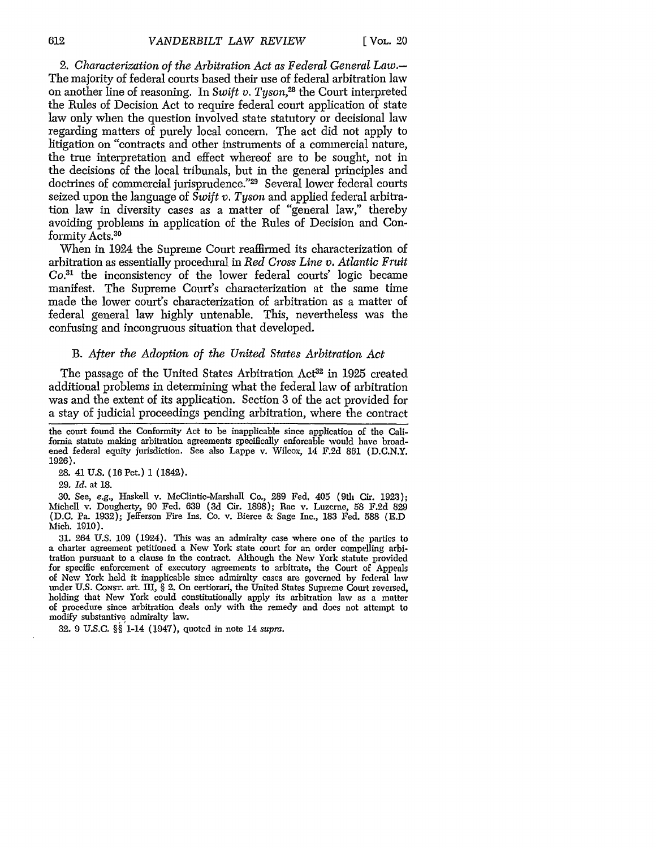*2. Characterization of the Arbitration Act as Federal General Law.-* The majority of federal courts based their use of federal arbitration law on another line of reasoning. In *Swift v. Tyson*<sup>28</sup> the Court interpreted the Rules of Decision Act to require federal court application of state law only when the question involved state statutory or decisional law regarding matters of purely local concern. The act did not apply to litigation on "contracts and other instruments of a commercial nature, the true interpretation and effect whereof are to be sought, not in the decisions of the local tribunals, but in the general principles and doctrines of commercial jurisprudence."<sup>29</sup> Several lower federal courts seized upon the language of *Swift v. Tyson* and applied federal arbitration law in diversity cases as a matter of "general law," thereby avoiding problems in application of the Rules of Decision and Conformity Acts.<sup>30</sup>

When in 1924 the Supreme Court reaffirmed its characterization of arbitration as essentially procedural in *Red Cross Line v. Atlantic Fruit Co.31* the inconsistency of the lower federal courts' logic became manifest. The Supreme Court's characterization at the same time made the lower court's characterization of arbitration as a matter of federal general law highly untenable. This, nevertheless was the confusing and incongruous situation that developed.

## B. *After the Adoption of the United States Arbitration Act*

The passage of the United States Arbitration Act<sup>32</sup> in 1925 created additional problems in determining what the federal law of arbitration was and the extent of its application. Section 3 of the act provided for a stay of judicial proceedings pending arbitration, where the contract

the court found the Conformity Act to be inapplicable since application of the California statute making arbitration agreements specifically enforcable would have broadened federal equity jurisdiction. See also Lappe v. Wilcox, 14 F.2d 861 (D.C.N.Y. 1926).

**28.** 41 **U.S. (16** Pet.) **1** (1842).

29. *Id.* at 18.

30. See, e.g., Haskell v. McClintic-Marshall Co., 289 Fed. 405 (9tlh Cir. 1923); Michell v. Dougherty, 90 Fed. 639 (3d Cir. 1898); Rae v. Luzerne, 58 F.2d 829 (D.C. Pa. 1932); Jefferson Fire Ins. Co. v. Bierce & Sage Inc., 183 Fed. 588 (E.D Mich. 1910).

31. 264 U.S. 109 (1924). This was an admiralty case where one of the parties to a charter agreement petitioned a New York state court for an order compelling arbitration pursuant to a clause in the contract. Although the New York statute provided for specific enforcement of executory agreements to arbitrate, the Court of Appeals of New York held it inapplicable since admiralty cases are governed by federal law under U.S. Consr. art. III, § 2. On certiorari, the United States Supreme Court reversed, holding that New York could constitutionally apply its arbitration law as a matter of procedure since arbitration deals only with the remedy and does not attempt to modify substantive admiralty law.

32. 9 U.S.C. **§§** 1-14 (1947), quoted in note 14 *supra.*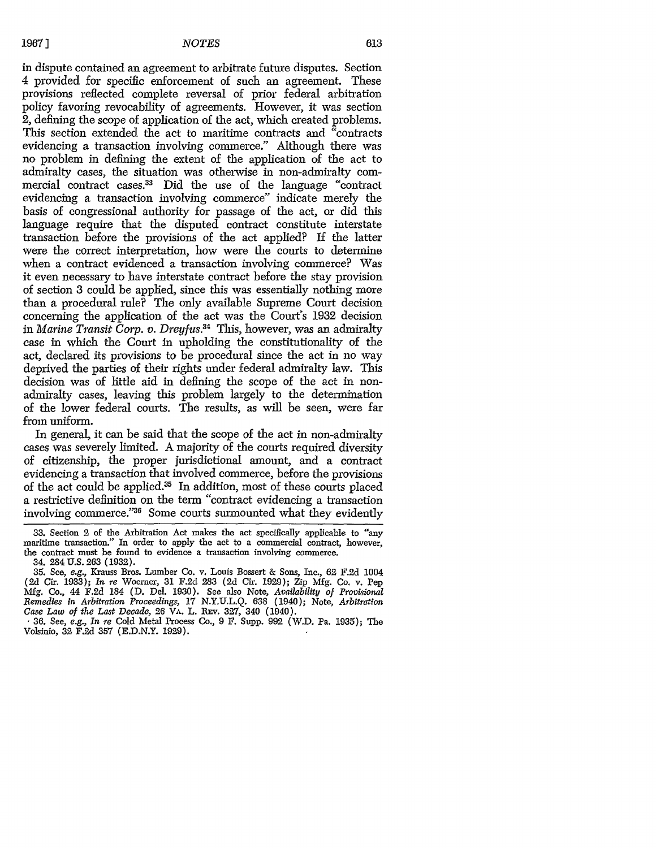in dispute contained an agreement to arbitrate future disputes. Section 4 provided for specific enforcement of such an agreement. These provisions reflected complete reversal of prior federal arbitration policy favoring revocability of agreements. However, it was section 2, defining the scope of application of the act, which created problems. This section extended the act to maritime contracts and "contracts evidencing a transaction involving commerce." Although there was no problem in defining the extent of the application of the act to admiralty cases, the situation was otherwise in non-admiralty commercial contract cases.33 Did the use of the language "contract evidencing a transaction involving commerce" indicate merely the basis of congressional authority for passage of the act, or did this language require that the disputed contract constitute interstate transaction before the provisions of the act applied? **If** the latter were the correct interpretation, how were the courts to determine when a contract evidenced a transaction involving commerce? Was it even necessary to have interstate contract before the stay provision of section 3 could be applied, since this was essentially nothing more than a procedural rule? The only available Supreme Court decision concerning the application of the act was the Court's 1932 decision in *Marine Transit Corp. v. Dreyfus.34* This, however, was an admiralty case in which the Court in upholding the constitutionality of the act, declared its provisions to be procedural since the act in no way deprived the parties of their rights under federal admiralty law. This decision was of little aid in defining the scope of the act in nonadmiralty cases, leaving this problem largely to the determination of the lower federal courts. The results, as will be seen, were far from uniform.

In general, it can be said that the scope of the act in non-admiralty cases was severely limited. A majority of the courts required diversity of citizenship, the proper jurisdictional amount, and a contract evidencing a transaction that involved commerce, before the provisions of the act could be applied.35 In addition, most of these courts placed a restrictive definition on the term "contract evidencing a transaction involving commerce."<sup>36</sup> Some courts surmounted what they evidently

**<sup>33.</sup>** Section 2 of the Arbitration Act makes the act specifically applicable to "any maritime transaction." In order to apply the act to a commercial contract, however, the contract must be found to evidence a transaction involving commerce. 34. 284 U.S. 263 (1932).

<sup>35.</sup> See, *e.g.,* Krauss Bros. Lumber Co. v. Louis Bossert & Sons, Inc., **62** F.2d 1004 (2d Cir. 1933); *In* re Woerner, 31 F.2d 283 (2d Cir. 1929); Zip Mfg. Co. v. Pep Mfg. Co., 44 F.2d 184 (D. Del. 1930). See also Note, *Availability of Provkional Bemedies in Arbitration Proceedings,* 17 N.Y.U.L.Q. 638 (1940); Note, *Arbitration Case Law of the Last Decade,* 26 VA. L. REv. 327, 340 (1940).

<sup>3</sup> **36.** See, *e.g., In re* Cold Metal Process Co., 9 F. Supp. **992** (W.D. Pa. 1935); The Volsinio, **32** F.2d 357 (E.D.N.Y. 1929).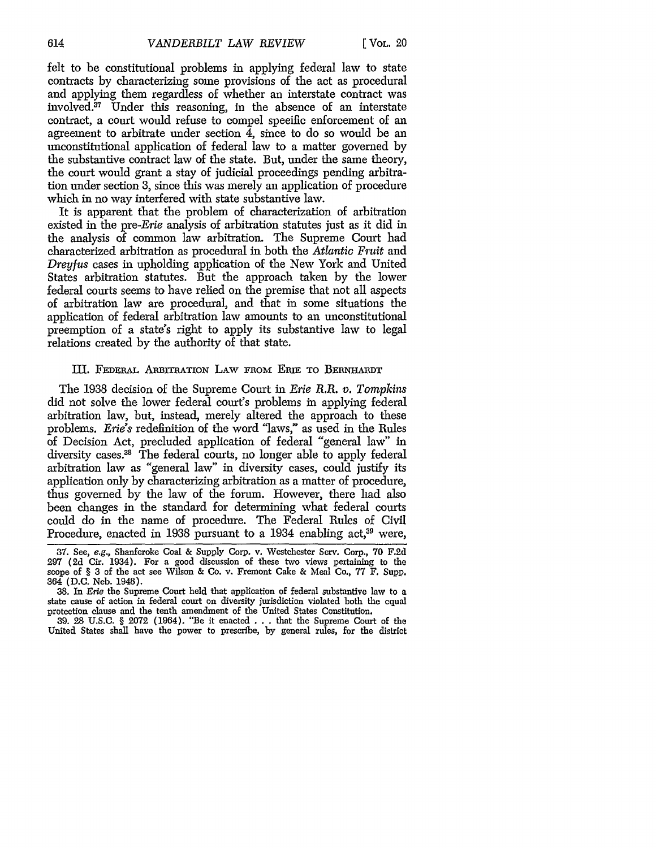felt to be constitutional problems in applying federal law to state contracts by characterizing some provisions of the act as procedural and applying them regardless of whether an interstate contract was involved.37 Under this reasoning, in the absence of an interstate contract, a court would refuse to compel specific enforcement of an agreement to arbitrate under section 4, since to do so would be an unconstitutional application of federal law to a matter governed by the substantive contract law of the state. But, under the same theory, the court would grant a stay of judicial proceedings pending arbitration under section 3, since this was merely an application of procedure which in no way interfered with state substantive law.

It is apparent that the problem of characterization of arbitration existed in the *pre-Erie* analysis of arbitration statutes just as it did in the analysis of common law arbitration. The Supreme Court had characterized arbitration as procedural in both the *Atlantic Fruit* and *Dreyfus* cases in upholding application of the New York and United States arbitration statutes. But the approach taken by the lower federal courts seems to have relied on the premise that not all aspects of arbitration law are procedural, and that in some situations the application of federal arbitration law amounts to an unconstitutional preemption of a state's right to apply its substantive law to legal relations created by the authority of that state.

# III. FEDERAL ABIrrRATION LAW FROM *EmE* TO BERNHAIDT

The 1938 decision of the Supreme Court in *Erie* R.R. *v. Tompkins* did not solve the lower federal court's problems in applying federal arbitration law, but, instead, merely altered the approach to these problems. *Erie's* redefinition of the word "laws," as used in the Rules of Decision Act, precluded application of federal "general law" in diversity cases.<sup>38</sup> The federal courts, no longer able to apply federal arbitration law as "general law" in diversity cases, could justify its application only by characterizing arbitration as a matter of procedure, thus governed by the law of the forum. However, there had also been changes in the standard for determining what federal courts could do in the name of procedure. The Federal Rules of Civil Procedure, enacted in 1938 pursuant to a 1934 enabling act,<sup>39</sup> were,

**<sup>37.</sup>** See, e.g., Shanferoke Coal & Supply Corp. v. Westchester Serv. Corp., 70 **F.2d 297** (2d Cir. 1934). For a good discussion of these two views pertaining to the scope of § 3 of the act see Wilson & Co. v. Fremont Cake & Meal Co., 77 F. Supp. 364 (D.C. Neb. 1948).

**<sup>38.</sup>** In Erie the Supreme Court held that application of federal substantive law to a state cause of action in federal court on diversity jurisdiction violated both the equal protection clause and the tenth amendment of the United States Constitution.

**<sup>39.</sup>** 28 U.S.C. § 2072 (1964). "Be it enacted .. . that the Supreme Court of the United States shall have the power to prescribe, **by** general rules, for the district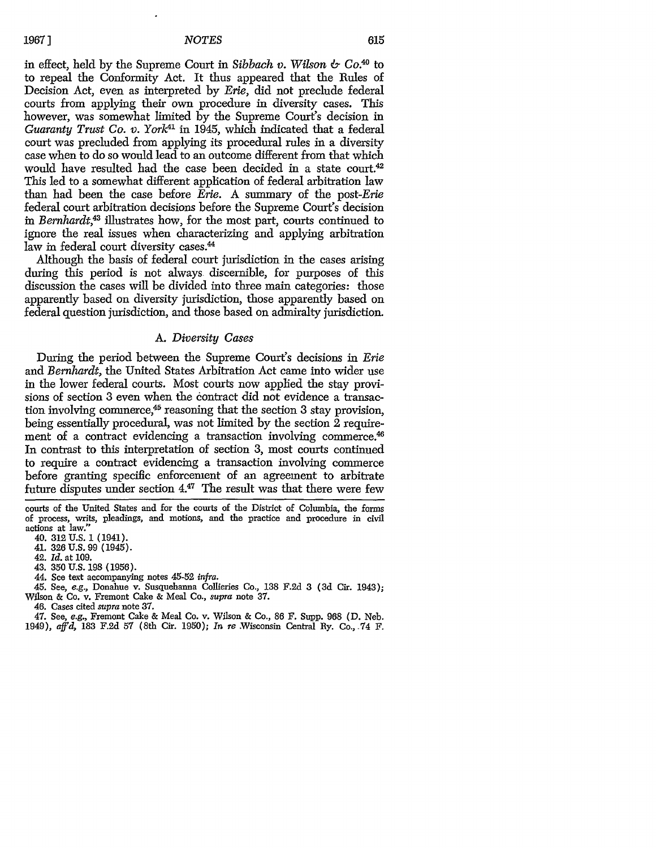in effect, held by the Supreme Court in *Sibbach v. Wilson & Co.*<sup>40</sup> to to repeal the Conformity Act. It thus appeared that the Rules of Decision Act, even as interpreted by *Erie,* did not preclude federal courts from applying their own procedure in diversity cases. This however, was somewhat limited by the Supreme Court's decision in *Guaranty Trust Co. v. York41* in 1945, which indicated that a federal court was precluded from applying its procedural rules in a diversity case when to do so would lead to an outcome different from that which would have resulted had the case been decided in a state court.<sup>42</sup> This led to a somewhat different application of federal arbitration law than had been the case before *Erie.* A summary of the *post-Erie* federal court arbitration decisions before the Supreme Court's decision in *Bernhardt,43* illustrates how, for the most part, courts continued to ignore the real issues when characterizing and applying arbitration law in federal court diversity cases.<sup>44</sup>

Although the basis of federal court jurisdiction in the cases arising during this period is not always discernible, for purposes of this discussion the cases will be divided into three main categories: those apparently based on diversity jurisdiction, those apparently based on federal question jurisdiction, and those based on admiralty jurisdiction.

# *A. Diversity Cases*

During the period between the Supreme Court's decisions in *Erie* and *Bernhardt,* the United States Arbitration Act came into wider use in the lower federal courts. Most courts now applied the stay provisions of section 3 even when the contract did not evidence a transaction involving commerce,45 reasoning that the section 3 stay provision, being essentially procedural, was not limited by the section  $\tilde{2}$  requirement of a contract evidencing a transaction involving commerce.<sup>46</sup> In contrast to this interpretation of section 3, most courts continued to require a contract evidencing a transaction involving commerce before granting specific enforcement of an agreement to arbitrate future disputes under section  $4.47$  The result was that there were few

courts of the United States and for the courts of the District of Columbia, the forms of process, writs, pleadings, and motions, and the practice and procedure in civil actions at law.'

40. **312** U.S. 1 (1941).

41. **326** U.S. 99 (1945).

42. *Id.* at 109.

43. 350 U.S. 198 (1956).

44. See text accompanying notes 45-52 *infra.*

45. See, *e.g.,* Donahue v. Susquehanna Collieries Co., 138 F.2d 3 **(3d** Cir. 1943); Wilson & Co. v. Fremont Cake & Meal Co., *supra* note 37.

46. Cases cited *supra* note 37.

47. See, *e.g.,* Fremont Cake & Meal Co. v. Wilson & Co., 86 F. Supp. 968 (D. Neb. 1949), *aff'd,* 183 F.2d 57 (8th Cir. 1950); *In re* Wisconsin Central Ry. Co., .74 F.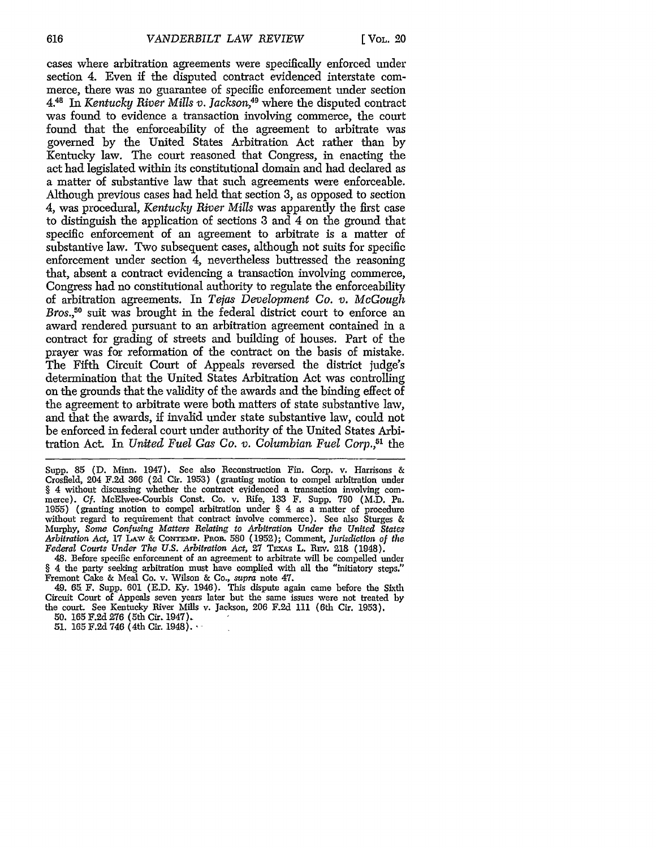cases where arbitration agreements were specifically enforced under section 4. Even if the disputed contract evidenced interstate commerce, there was no guarantee of specific enforcement under section **4.48** In *Kentucky River Mills v. Jackson,49* where the disputed contract was found to evidence a transaction involving commerce, the court found that the enforceability of the agreement to arbitrate was governed by the United States Arbitration Act rather than by Kentucky law. The court reasoned that Congress, in enacting the act had legislated within its constitutional domain and had declared as a matter of substantive law that such agreements were enforceable. Although previous cases had held that section 3, as opposed to section 4, was procedural, *Kentucky River Mills* was apparently the first case to distinguish the application of sections 3 and 4 on the ground that specific enforcement of an agreement to arbitrate is a matter of substantive law. Two subsequent cases, although not suits for specific enforcement under section 4, nevertheless buttressed the reasoning that, absent a contract evidencing a transaction involving commerce, Congress had no constitutional authority to regulate the enforceability of arbitration agreements. In *Tejas Development Co. v. McGough* Bros.<sup>50</sup> suit was brought in the federal district court to enforce an award rendered pursuant to an arbitration agreement contained in a contract for grading of streets and building of houses. Part of the prayer was for reformation of the contract on the basis of mistake. The Fifth Circuit Court of Appeals reversed the district judge's determination that the United States Arbitration Act was controlling on the grounds that the validity of the awards and the binding effect of the agreement to arbitrate were both matters of state substantive law, and that the awards, if invalid under state substantive law, could not be enforced in federal court under authority of the United States Arbitration Act. In *United Fuel Gas Co. v. Columbian Fuel Corp.,51* the

Supp. 85 (D. Minn. 1947). See also Reconstruction Fin. Corp. v. Harrisons & Crosfield, 204 F.2d 366 (2d Cir. 1953) (granting motion to compel arbitration under § 4 without discussing whether the contract evidenced a transaction involving commerce). **Cf.** McElwee-Courbis Const. Co. v. Rife, 133 F. Supp. **790** (M.D. Pa. 1955) (granting motion to compel arbitration under § 4 as a matter of procedure without regard to requirement that contract involve commerce). See also Sturges & Murphy, *Some Confusing Matters Relating to Arbitration Under the United States* Arbitration Act, 17 LAW & CONTEMP. PROB. 580 (1952); Comment, *Jurisdiction of the Federal Courts Under The U.S. Arbitration Act,* 27 TEXAS L. REV. 218 (1948).

48. Before specific enforcement of an agreement to arbitrate will be compelled under § 4 the party seeking arbitration must have complied with all the "initiatory steps." Fremont Cake & Meal Co. v. Wilson & Co., *supra* note 47.

49. **65.** F. Supp. 601 (E.D. **Ky.** 1946). This dispute again came before the Sixth Circuit Court of Appeals seven years later but the same issues were not treated by the court. See Kentucky River Mills v. Jackson, 206 F.2d 111 (6th Cir. 1953).

50. 165 F.2d **276** (5th Cir. 1947)

51. 165 F.2d 746 (4th Cir. 1948).-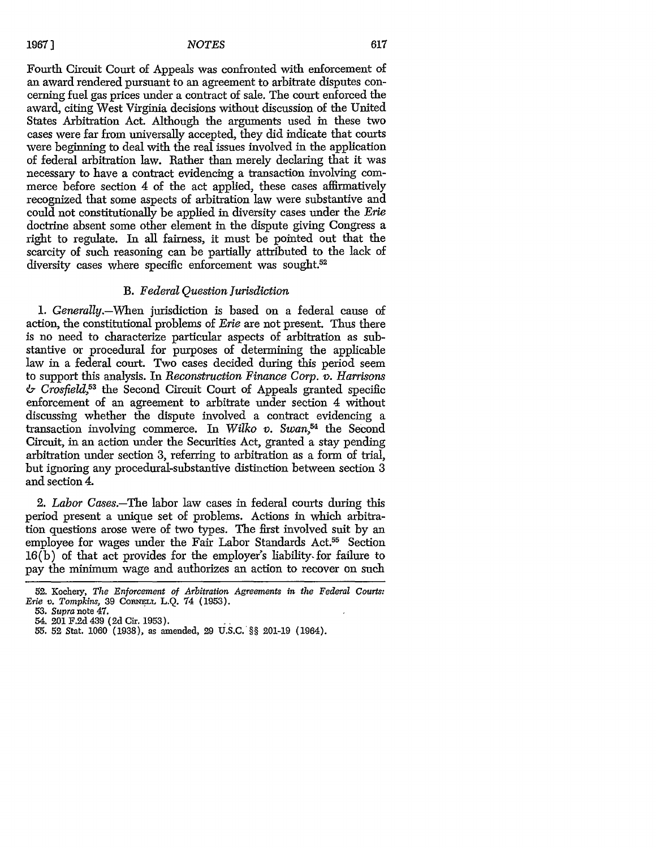Fourth Circuit Court of Appeals was confronted with enforcement of an award rendered pursuant to an agreement to arbitrate disputes concerning fuel gas prices under a contract of sale. The court enforced the award, citing West Virginia decisions without discussion of the United States Arbitration Act. Although the arguments used in these two cases were far from universally accepted, they did indicate that courts were beginning to deal with the real issues involved in the application of federal arbitration law. Rather than merely declaring that it was necessary to have a contract evidencing a transaction involving commerce before section 4 of the act applied, these cases affirmatively recognized that some aspects of arbitration law were substantive and could not constitutionally be applied in diversity cases under the *Erie* doctrine absent some other element in the dispute giving Congress a right to regulate. In all fairness, it must be pointed out that the scarcity of such reasoning can be partially attributed to the lack of diversity cases where specific enforcement was sought.<sup>52</sup>

# *B. Federal Question Jurisdiction*

1. *Generally.-When* jurisdiction is based on a federal cause of action, the constitutional problems of *Erie* are not present. Thus there is no need to characterize particular aspects of arbitration as substantive or procedural for purposes of determining the applicable law in a federal court. Two cases decided during this period seem to support this analysis. In *Reconstruction Finance Corp. v. Harrisons & Crosfield<sup>53</sup>*the Second Circuit Court of Appeals granted specific enforcement of an agreement to arbitrate under section 4 without discussing whether the dispute involved a contract evidencing a transaction involving commerce. In *Wilko v. Swan*<sup>54</sup> the Second Circuit, in an action under the Securities Act, granted a stay pending arbitration under section 3, referring to arbitration as a form of trial, but ignoring any procedural-substantive distinction between section 3 and section 4.

*2. Labor Cases.-The* labor law cases in federal courts during this period present a unique set of problems. Actions in which arbitration questions arose were of two types. The first involved suit by an employee for wages under the Fair Labor Standards Act.<sup>55</sup> Section 16(b) of that act provides for the employer's liability, for failure to pay the minimum wage and authorizes an action to recover on such

<sup>52.</sup> Kochery, *The Enforcement of Arbitration Agreements in the Federal Courts: Erie v. Tompkins,* 39 CORNELL L.Q. 74 (1953).

<sup>53.</sup> *Supra* note 47.

<sup>54. 201</sup> F.2d 439 **(2d** Cir. 1953).

<sup>55.</sup> **52** Stat. 1060 (1938), as amended, **29** U.S.C. §§ 201-19 (1964).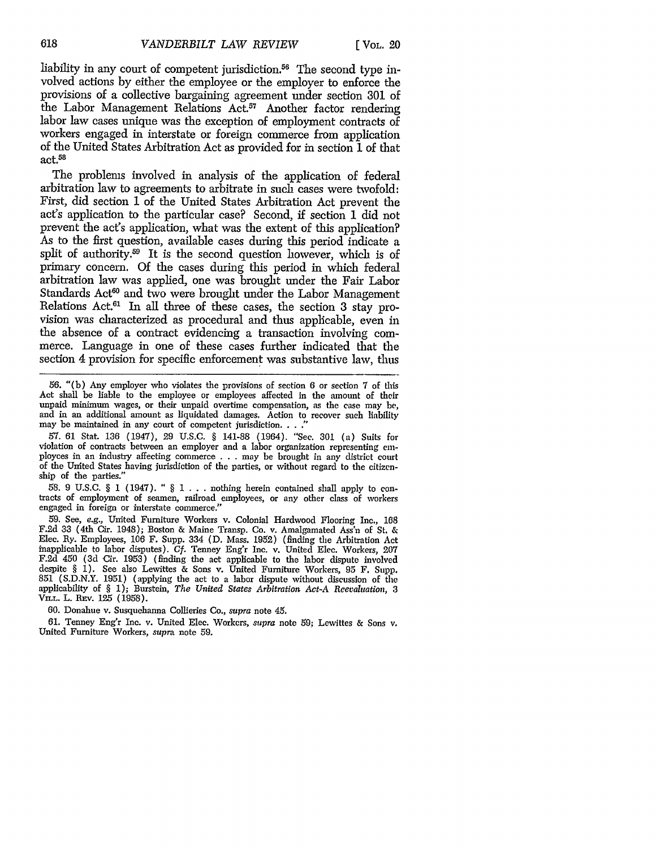liability in any court of competent jurisdiction.<sup>56</sup> The second type involved actions by either the employee or the employer to enforce the provisions of a collective bargaining agreement under section 301 of the Labor Management Relations Act.<sup>57</sup> Another factor rendering labor law cases unique was the exception of employment contracts of workers engaged in interstate or foreign commerce from application of the United States Arbitration Act as provided for in section 1 of that act.58

The problems involved in analysis of the application of federal arbitration law to agreements to arbitrate in such cases were twofold: First, did section 1 of the United States Arbitration Act prevent the act's application to the particular case? Second, if section 1 did not prevent the act's application, what was the extent of this application? As to the first question, available cases during this period indicate a split of authority.59 It is the second question however, which is of primary concern. Of the cases during this period in which federal arbitration law was applied, one was brought under the Fair Labor Standards Act<sup>60</sup> and two were brought under the Labor Management Relations Act.<sup>61</sup> In all three of these cases, the section 3 stay provision was characterized as procedural and thus applicable, even in the absence of a contract evidencing a transaction involving commerce. Language in one of these cases further indicated that the section 4 provision for specific enforcement was substantive law, thus

56. "(b) Any employer who violates the provisions of section 6 or section 7 of this Act shall be liable to the employee or employees affected in the amount of their unpaid minimum wages, or their unpaid overtime compensation, as the case may be, and in an additional amount as liquidated damages. Action to recover such liability may be maintained in any court of competent jurisdiction. . . .<sup>2</sup>

57. 61 Stat. 136 (1947), 29 U.S.C. § 141-88 (1964). "See. 301 (a) Suits for ployees in an industry affecting commerce . . . may be brought in any district court of the United States having jurisdiction of the parties, or without regard to the citizen-

ship of the parties."<br>58. 9 U.S.C. § 1 (1947). "  $\S 1$ ... nothing herein contained shall apply to con-**58.** 9 **U.S.C.** § 1 (1947). " § 1 **. . .** nothing herein contained shall apply to con- tracts of employment of seamen, railroad employees, or any other class of workers engaged in foreign or interstate commerce.'

59. See, e.g., United Furniture Workers v. Colonial Hardwood Flooring Inc., 168 F.2d 33 (4th Cir. 1948); Boston & Maine Transp. Co. v. Amalgamated Ass'n of St. & Elec. **By.** Employees, 106 F. Supp. 334 (D. Mass. 1952) (finding the Arbitration Act inapplicable to labor disputes). Cf. Tenney Eng'r Inc. v. United Elec. Workers, 207 F.2d 450 (3d Cir. 1953) (finding the act applicable to the labor dispute involved despite § 1). See also Lewittes & Sons v. United Furniture Workers, 95 F. Supp. despite § 1). See also Lewittes & Sons v. United Furniture Workers, 95 F. Supp.<br>851 (S.D.N.Y. 1951) (applying the act to a labor dispute without discussion of the applicability of § 1); Burstein, *The United States Arbitration Act-A Reevaluation, 3* VILL. L. REV. 125 (1958).

60. Donahue v. Susquehanna Collieries Co., *supra* note 45.

61. Tenney Eng'r Inc. v. United Elec. Workers, *supra* note **59;** Lewittes & Sons v. United Furniture Workers, supra note 59.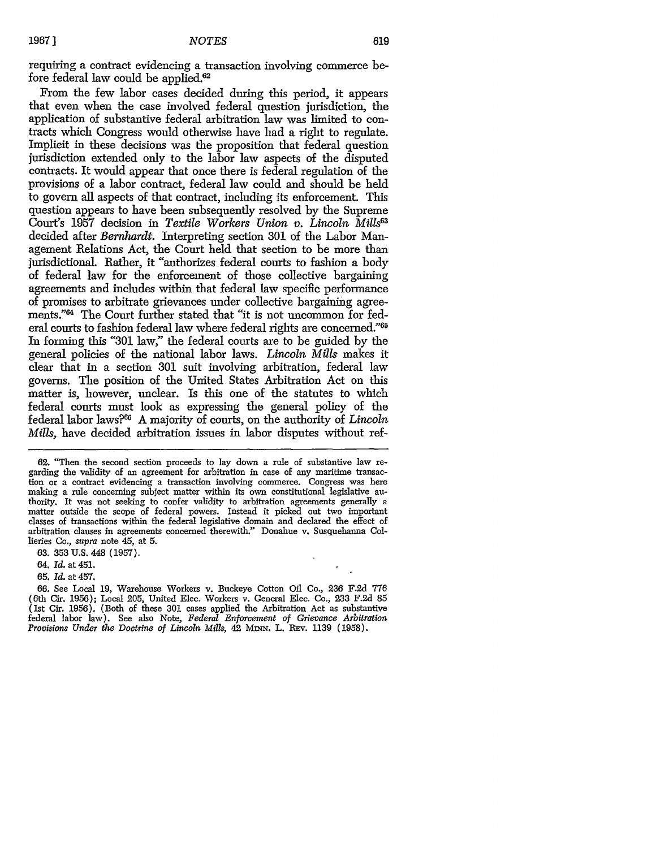requiring a contract evidencing a transaction involving commerce before federal law could be applied.<sup>62</sup>

From the few labor cases decided during this period, it appears that even when the case involved federal question jurisdiction, the application of substantive federal arbitration law was limited to contracts which Congress would otherwise have had a right to regulate. Implicit in these decisions was the proposition that federal question jurisdiction extended only to the labor law aspects of the disputed contracts. It would appear that once there is federal regulation of the provisions of a labor contract, federal law could and should be held to govern all aspects of that contract, including its enforcement. This question appears to have been subsequently resolved by the Supreme Court's 1957 decision in *Textile Workers Union v. Lincoln Mills6* decided after *Bernhardt.* Interpreting section 301 of the Labor Management Relations Act, the Court held that section to be more than jurisdictional. Rather, it "authorizes federal courts to fashion a body of federal law for the enforcement of those collective bargaining agreements and includes within that federal law specific performance of promises to arbitrate grievances under collective bargaining agreements."64 The Court further stated that "it is not uncommon for federal courts to fashion federal law where federal rights are concerned."<sup>65</sup> In forming this "301 law," the federal courts are to be guided by the general policies of the national labor laws. *Lincoln Mills* makes it clear that in a section 301 suit involving arbitration, federal law governs. The position of the United States Arbitration Act on this matter is, however, unclear. Is this one of the statutes to which federal courts must look as expressing the general policy of the federal labor laws?66 A majority of courts, on the authority of *Lincoln Mills,* have decided arbitration issues in labor disputes without ref-

62. "Then the second section proceeds to lay down a rule of substantive law re- garding the validity of an agreement for arbitration in case of any maritime transaction or a contract evidencing a transaction involving commerce. Congress was here thority. It was not seeking to confer validity to arbitration agreements generally a matter outside the scope of federal powers. Instead it picked out two important classes of transactions within the federal legislative domain and declared the effect of arbitration clauses in agreements concerned therewith." Donahue v. Susquehanna Collieries Co., supra note 45, at 5.

63. **353** U.S. 448 (1957).

64. *Id.* at 451.

65. *Id.* at 457.

66. See Local 19, Warehouse Workers v. Buckeye Cotton Oil Co., 236 F.2d 776 (6th Cir. 1956); Local 205, United Elec. Workers v. General Elec. Co., 233 F.2d 85 (1st Cir. 1956). (Both of these 301 cases applied the Arbitration Act as substantive federal labor law). See also Note, *Federal Enforcement of Grievance Arbitration Provisions Under the Doctrine of Lincoln Mills,* 42 MINN. L. REv. 1139 (1958).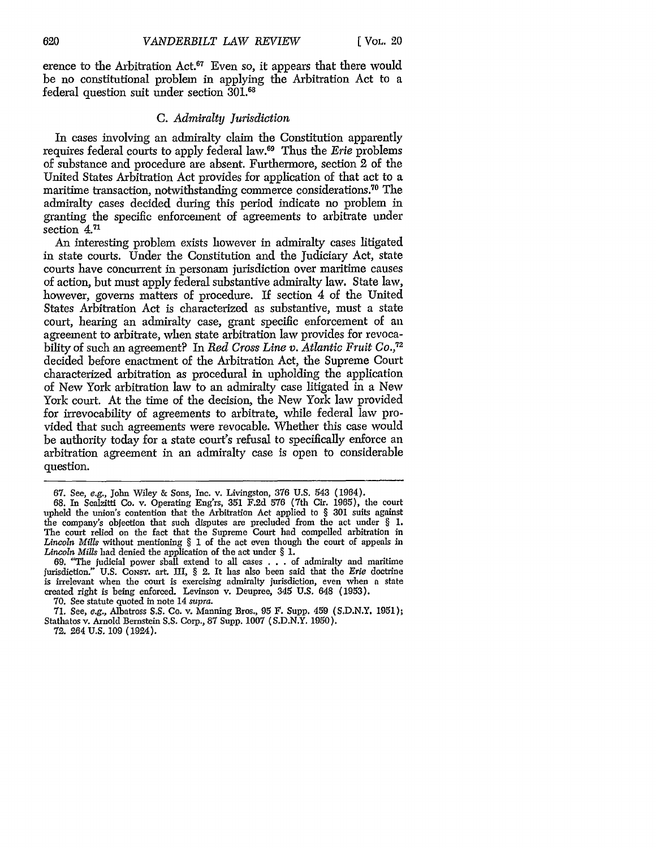**[** VOL. 20

erence to the Arbitration Act. $67$  Even so, it appears that there would be no constitutional problem in applying the Arbitration Act to a federal question suit under section 301.68

# C. *Admiralty Jurisdiction*

In cases involving an admiralty claim the Constitution apparently requires federal courts to apply federal law.69 Thus the *Erie* problems of substance and procedure are absent. Furthermore, section 2 of the United States Arbitration Act provides for application of that act to a maritime transaction, notwithstanding commerce considerations."° The admiralty cases decided during this period indicate no problem in granting the specific enforcement of agreements to arbitrate under section **4.71**

An interesting problem exists however in admiralty cases litigated in state courts. Under the Constitution and the Judiciary Act, state courts have concurrent in personam jurisdiction over maritime causes of action, but must apply federal substantive admiralty law. State law, however, governs matters of procedure. If section 4 of the United States Arbitration Act is characterized as substantive, must a state court, hearing an admiralty case, grant specific enforcement of an agreement to arbitrate, when state arbitration law provides for revocability of such an agreement? In *Red Cross Line v. Atlantic Fruit Co., <sup>72</sup>* decided before enactment of the Arbitration Act, the Supreme Court characterized arbitration as procedural in upholding the application of New York arbitration law to an admiralty case litigated in a New York court. At the time of the decision, the New York law provided for irrevocability of agreements to arbitrate, while federal law provided that such agreements were revocable. Whether this case would be authority today for a state court's refusal to specifically enforce an arbitration agreement in an admiralty case is open to considerable question.

72. 264 U.S. 109 (1924).

<sup>67.</sup> See, *e.g.,* John Wiley & Sons, Inc. v. Livingston, 376 U.S. 543 (1964).

<sup>68.</sup> In Scalzitti Co. v. Operating Eng'rs, 351 F.2d 576 (7th Cir. 1965), the court upheld the union's contention that the Arbitration Act applied to § 301 suits against the company's objection that such disputes are precluded from the act under § 1. The court relied on the fact that the Supreme Court bad compelled arbitration in *Lincoln Mills* without mentioning § 1 of the act even though the court of appeals in *Lincoln Mills* had denied the application of the act under § 1.

<sup>69. &</sup>quot;The judicial power shall extend to all cases . . . of admiralty and maritime jurisdiction." U.S. CONST. art. III, § 2. It has also been said that the *Erie* doctrine is irrelevant when the court is exercising admiralty jurisdiction, even when a state created right is being enforced. Levinson v. Deupree, 345 U.S. 648 (1953).

<sup>70.</sup> See statute quoted in note 14 supra.

<sup>71.</sup> See, *e.g.,* Albatross S.S. Co. v. Manning Bros., 95 F. Supp. 459 (S.D.N.Y. 1951); Stathatos v. Arnold Bernstein S.S. Corp., 87 Supp. 1007 (S.D.N.Y. 1950).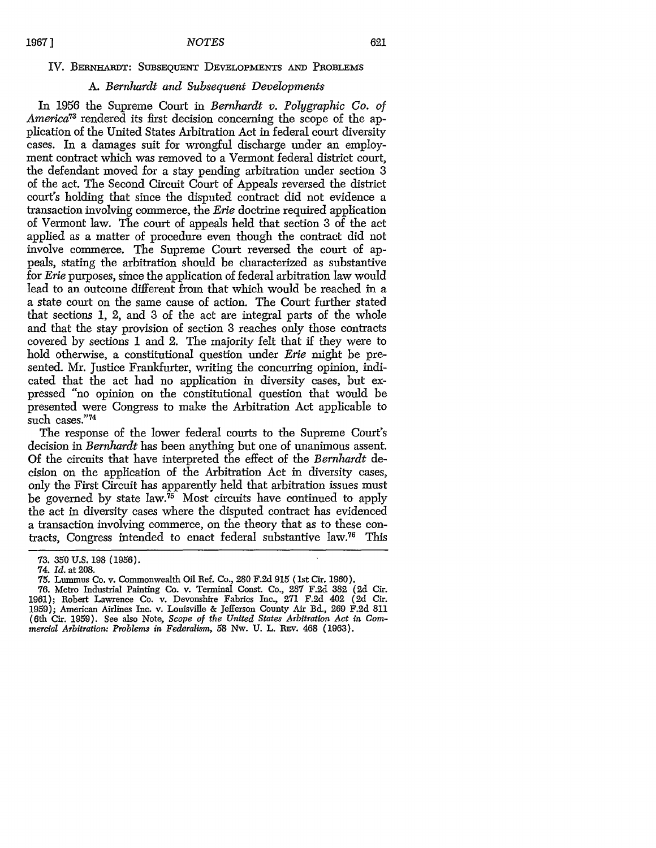### IV. BERNHARDT: SUBSEQUENT DEVELOPMENTS **AND** PROBLEMS

## *A. Bernhardt and Subsequent Developments*

In 1956 the Supreme Court in *Bernhardt v. Polygraphic Co. of America73* rendered its first decision concerning the scope of the application of the United States Arbitration Act in federal court diversity cases. In a damages suit for wrongful discharge under an employment contract which was removed to a Vermont federal district court, the defendant moved for a stay pending arbitration under section 3 of the act. The Second Circuit Court of Appeals reversed the district court's holding that since the disputed contract did not evidence a transaction involving commerce, the *Erie* doctrine required application of Vermont law. The court of appeals held that section 3 of the act applied as a matter of procedure even though the contract did not involve commerce. The Supreme Court reversed the court of appeals, stating the arbitration should be characterized as substantive for *Erie* purposes, since the application of federal arbitration law would lead to an outcome different from that which would be reached in a a state court on the same cause of action. The Court further stated that sections 1, 2, and 3 of the act are integral parts of the whole and that the stay provision of section 3 reaches only those contracts covered by sections 1 and 2. The majority felt that if they were to hold otherwise, a constitutional question under *Erie* might be presented. Mr. Justice Frankfurter, writing the concurring opinion, indicated that the act had no application in diversity cases, but expressed "no opinion on the constitutional question that would be presented were Congress to make the Arbitration Act applicable to such cases."74

The response of the lower federal courts to the Supreme Court's decision in *Bernhardt* has been anything but one of unanimous assent. Of the circuits that have interpreted the effect of the *Bernhardt* decision on the application of the Arbitration Act in diversity cases, only the First Circuit has apparently held that arbitration issues must be governed by state law.<sup>75</sup> Most circuits have continued to apply the act in diversity cases where the disputed contract has evidenced a transaction involving commerce, on the theory that as to these contracts, Congress intended to enact federal substantive law.76 This

<sup>73. 350</sup> U.S. 198 (1956).

<sup>74.</sup> *Id.* at 208.

<sup>75.</sup> Lummus Co. v. Commonwealth Oil Ref. Co., 280 F.2d 915 (1st Cir. 1960).

<sup>76.</sup> Metro Industrial Painting Co. v. Terminal Const. Co., 287 F.2d 382 **(2d** Cir. 1961); Robert Lawrence Co. v. Devonshire Fabrics Inc., 271 F.2d 402 (2d Cir. 1959); American Airlines Inc. v. Louisville & Jefferson County Air Bd., 269 F.2d 811 (6th Cir. 1959). See also Note, *Scope of the United States Arbitration Act in Commercial Arbitration: Problems in Federalism,* 58 Nw. U. L. REv. 468 (1963).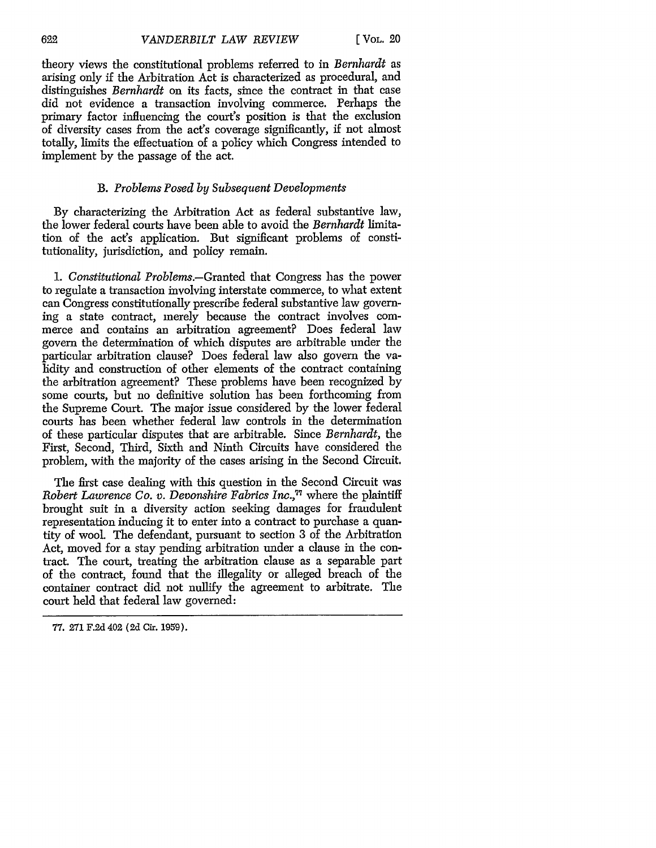theory views the constitutional problems referred to in *Bernhardt* as arising only if the Arbitration Act is characterized as procedural, and distinguishes *Bernhardt* on its facts, since the contract in that case did not evidence a transaction involving commerce. Perhaps the primary factor influencing the court's position is that the exclusion of diversity cases from the act's coverage significantly, if not almost totally, limits the effectuation of a policy which Congress intended to implement by the passage of the act.

# *B. Problems Posed by Subsequent Developments*

By characterizing the Arbitration Act as federal substantive law, the lower federal courts have been able to avoid the *Bernhardt* limitation of the act's application. But significant problems of constitutionality, jurisdiction, and policy remain.

*1. Constitutional Problems.-Granted* that Congress has the power to regulate a transaction involving interstate commerce, to what extent can Congress constitutionally prescribe federal substantive law governing a state contract, merely because the contract involves commerce and contains an arbitration agreement? Does federal law govern the determination of which disputes are arbitrable under the particular arbitration clause? Does federal law also govern the validity and construction of other elements of the contract containing the arbitration agreement? These problems have been recognized by some courts, but no definitive solution has been forthcoming from the Supreme Court. The major issue considered by the lower federal courts has been whether federal law controls in the determination of these particular disputes that are arbitrable. Since *Bernhardt,* the First, Second, Third, Sixth and Ninth Circuits have considered the problem, with the majority of the cases arising in the Second Circuit.

The first case dealing with this question in the Second Circuit was *Robert Lawrence Co. v. Devonshire Fabrics Inc.*,<sup>77</sup> where the plaintiff brought suit in a diversity action seeking damages for fraudulent representation inducing it to enter into a contract to purchase a quantity of wool. The defendant, pursuant to section 3 of the Arbitration Act, moved for a stay pending arbitration under a clause in the contract. The court, treating the arbitration clause as a separable part of the contract, found that the illegality or alleged breach of the container contract did not nullify the agreement to arbitrate. The court held that federal law governed:

**<sup>77. 271</sup> F.2d** 402 **(2d** Cir. **1959).**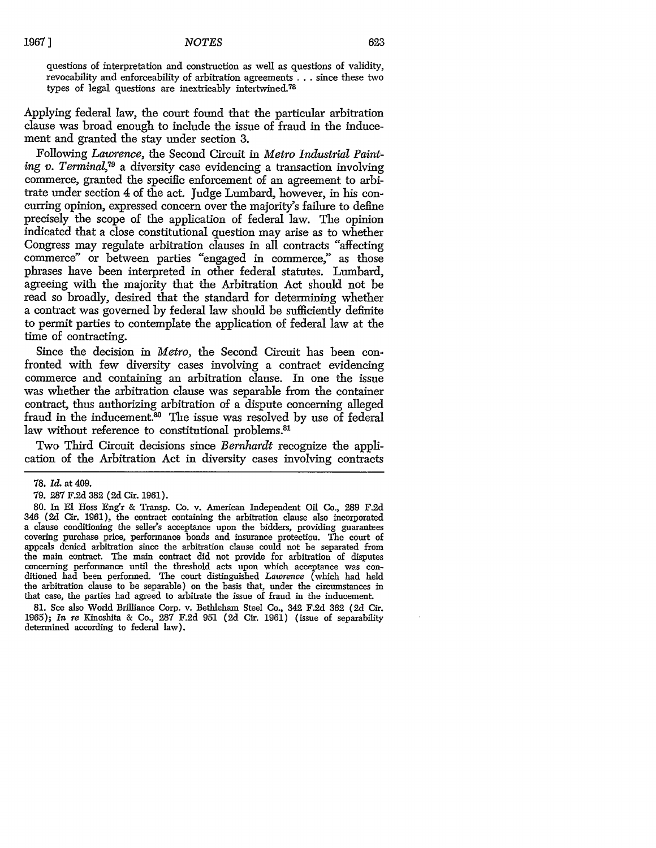questions of interpretation and construction as well as questions of validity, revocability and enforceability of arbitration agreements ... since these two types of legal questions are inextricably intertwined.<sup>78</sup>

Applying federal law, the court found that the particular arbitration clause was broad enough to include the issue of fraud in the inducement and granted the stay under section 3.

Following *Lawrence,* the Second Circuit in *Metro Industrial Painting v. Terminal,79* a diversity case evidencing a transaction involving commerce, granted the specific enforcement of an agreement to arbitrate under section 4 of the act. Judge Lumbard, however, in his concurring opinion, expressed concern over the majority's failure to define precisely the scope of the application of federal law. The opinion indicated that a close constitutional question may arise as to whether Congress may regulate arbitration clauses in all contracts "affecting commerce" or between parties "engaged in commerce," as those phrases have been interpreted in other federal statutes. Lumbard, agreeing with the majority that the Arbitration Act should not be read so broadly, desired that the standard for determining whether a contract was governed by federal law should be sufficiently definite to permit parties to contemplate the application of federal law at the time of contracting.

Since the decision in *Metro,* the Second Circuit has been confronted with few diversity cases involving a contract evidencing commerce and containing an arbitration clause. In one the issue was whether the arbitration clause was separable from the container contract, thus authorizing arbitration of a dispute concerning alleged fraud in the inducement.<sup>80</sup> The issue was resolved by use of federal law without reference to constitutional problems.<sup>81</sup>

Two Third Circuit decisions since *Bernhardt* recognize the application of the Arbitration Act in diversity cases involving contracts

**81.** See also World Brilliance Corp. v. Bethleham Steel Co., 342 F.2d **362** (2d Cir. 1965); *In re* Kinoshita **&** Co., 287 F.2d **951** (2d Cir. **1961)** (issue of separability determined according to federal law).

<sup>78.</sup> *Id.* at 409.

<sup>79.</sup> **287** F.2d **382** (2d Cir. **1961).**

<sup>80.</sup> In El Hoss Eng'r & Transp. Co. v. American Independent Oil Co., 289 F.2d 346 (2d Cir. 1961), the contract containing the arbitration clause also incorporated a clause conditioning the seller's acceptance upon the bidders, providing guarantees covering purchase price, performance bonds and insurance protection. The court of appeals denied arbitration since the arbitration clause could not be separated from the main contract. The main contract did not provide for arbitration of disputes concerning performance until the threshold acts upon which acceptance was con- ditioned **had** been performed. The court distinguished *Lawrence* (which had held the arbitration clause to be separable) on the basis that, under the circumstances in that case, the parties had agreed to arbitrate the issue of fraud in the inducement.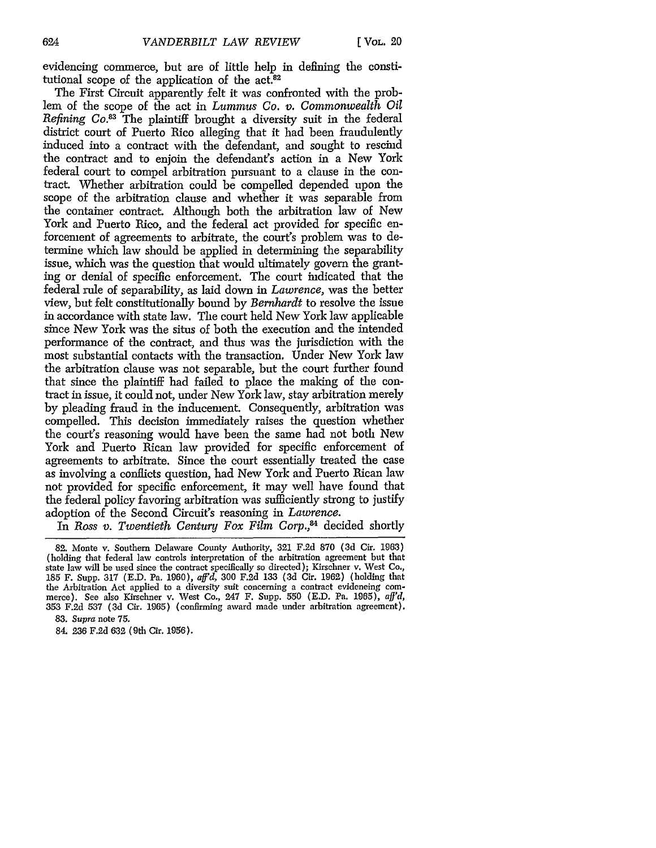evidencing commerce, but are of little help in defining the constitutional scope of the application of the  $act.^{82}$ 

The First Circuit apparently felt it was confronted with the problem of the scope of the act in *Lummus Co. v. Commonwealth Oil Refining Co.83* The plaintiff brought a diversity suit in the federal district court of Puerto Rico alleging that it had been fraudulently induced into a contract with the defendant, and sought to rescind the contract and to enjoin the defendant's action in a New York federal court to compel arbitration pursuant to a clause in the contract. Whether arbitration could be compelled depended upon the scope of the arbitration clause and whether it was separable from the container contract. Although both the arbitration law of New York and Puerto Rico, and the federal act provided for specific enforcement of agreements to arbitrate, the court's problem was to determine which law should be applied in determining the separability issue, which was the question that would ultimately govern the granting or denial of specific enforcement. The court indicated that the federal rule of separability, as laid down in *Lawrence,* was the better view, but felt constitutionally bound by *Bernhardt* to resolve the issue in accordance with state law. The court held New York law applicable since New York was the situs of both the execution and the intended performance of the contract, and thus was the jurisdiction with the most substantial contacts with the transaction. Under New York law the arbitration clause was not separable, but the court further found that since the plaintiff had failed to place the making of the contract in issue, it could not, under New York law, stay arbitration merely by pleading fraud in the inducement. Consequently, arbitration was compelled. This decision immediately raises the question whether the court's reasoning would have been the same had not both New York and Puerto Rican law provided for specific enforcement of agreements to arbitrate. Since the court essentially treated the case as involving a conflicts question, had New York and Puerto Rican law not provided for specific enforcement, it may well have found that the federal policy favoring arbitration was sufficiently strong to justify adoption of the Second Circuit's reasoning in *Lawrence.*

In *Ross v. Twentieth Century Fox Film Corp.,84* decided shortly

**<sup>82.</sup>** Monte v. Southern Delaware County Authority, 321 F.2d 870 (3d Cir. 1963) (holding that federal law controls interpretation of the arbitration agreement but that state law will be used since the contract specifically so directed); Kirschner v. West Co,, 185 F. Supp. 317 (E.D. Pa. 1960), *aff'd,* 300 F.2d 133 (3d Cir. 1962) (holding that the Arbitration Act applied to a diversity suit concerning a contract evidencing com- merce). See also Kirschner v. West Co., 247 F. Supp. 550 (E.D. Pa. 1965), *aff'd,* 353 F.2d 537 (3d Cir. 1965) (confirming award made under arbitration agreement). 83. *Supra* note 75.

<sup>84. 236</sup> F.2d 632 (9th Cir. 1956).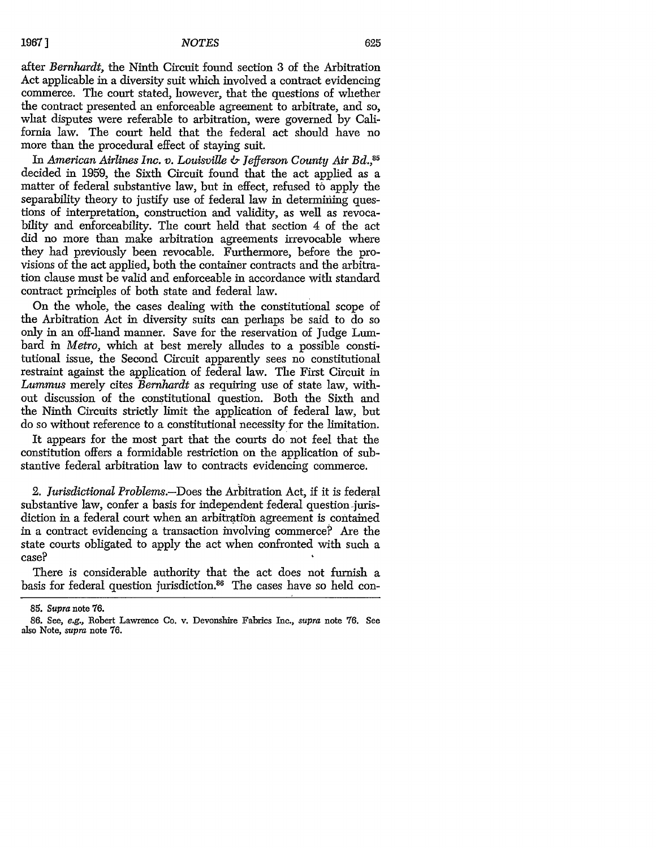after *Bernhardt,* the Ninth Circuit found section 3 of the Arbitration Act applicable in a diversity suit which involved a contract evidencing commerce. The court stated, however, that the questions of whether the contract presented an enforceable agreement to arbitrate, and so, what disputes were referable to arbitration, were governed by California law. The court held that the federal act should have no more than the procedural effect of staying suit.

In *American Airlines Inc. v. Louisville & Jefferson County Air Bd.,85* decided in 1959, the Sixth Circuit found that the act applied as a matter of federal substantive law, but in effect, refused to apply the separability theory to justify use of federal law in determining questions of interpretation, construction and validity, as well as revocability and enforceability. The court held that section 4 of the act did no more than make arbitration agreements irrevocable where they had previously been revocable. Furthermore, before the provisions of the act applied, both the container contracts and the arbitration clause must be valid and enforceable in accordance with standard contract principles of both state and federal law.

On the whole, the cases dealing with the constitutional scope of the Arbitration Act in diversity suits can perhaps be said to do so only in an off-hand manner. Save for the reservation of Judge Lumbard in *Metro,* which at best merely alludes to a possible constitutional issue, the Second Circuit apparently sees no constitutional restraint against the application of federal law. The First Circuit in *Lummus* merely cites *Bernhardt* as requiring use of state law, without discussion of the constitutional question. Both the Sixth and the Ninth Circuits strictly limit the application of federal law, but do so without reference to a constitutional necessity for the limitation.

It appears for the most part that the courts do not feel that the constitution offers a formidable restriction on the application of substantive federal arbitration law to contracts evidencing commerce.

*2. Jurisdictional Problems.-Does* the Arbitration Act, if it is federal substantive law, confer a basis for independent federal question-jurisdiction in a federal court when an arbitration agreement is contained in a contract evidencing a transaction involving commerce? Are the state courts obligated to apply the act when confronted with such a case?

There is considerable authority that the act does not furnish a basis for federal question jurisdiction.<sup>86</sup> The cases have so held con-

*<sup>85.</sup>* Supra note 76.

<sup>86.</sup> See, e.g., Robert Lawrence Co. v. Devonshire Fabrics Inc., supra note 76. See also Note, supra note **76.**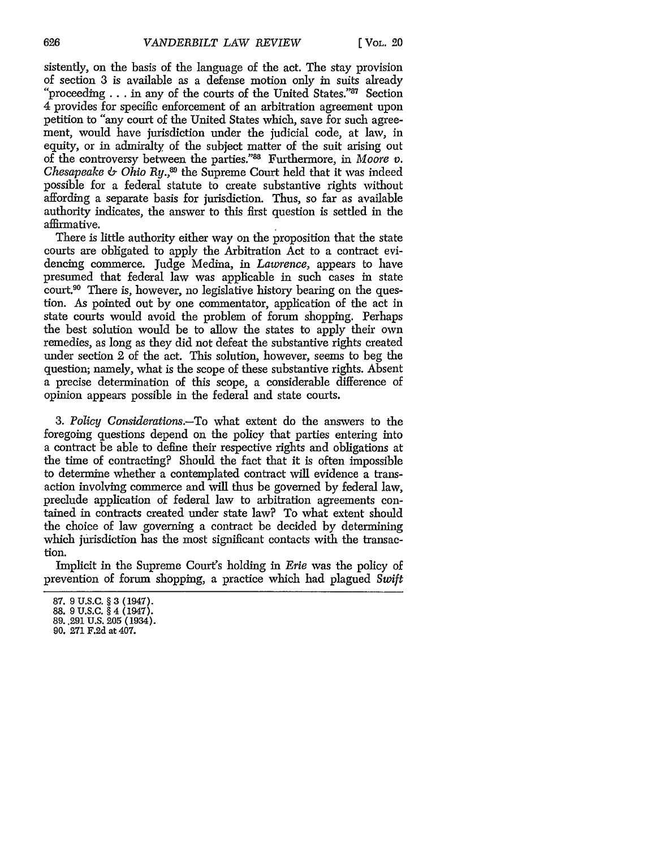sistently, on the basis of the language of the act. The stay provision of section 3 is available as a defense motion only in suits already "proceeding... in any of the courts of the United States."  $87^{\circ}$  Section 4 provides for specific enforcement of an arbitration agreement upon petition to "any court of the United States which, save for such agreement, would have jurisdiction under the judicial code, at law, in equity, or in admiralty of the subject matter of the suit arising out of the controversy between the parties."88 Furthermore, in *Moore v. Chesapeake & Ohio Ry.*<sup>89</sup> the Supreme Court held that it was indeed possible for a federal statute to create substantive rights without affording a separate basis for jurisdiction. Thus, so far as available authority indicates, the answer to this first question is settled in the affirmative.

There is little authority either way on the proposition that the state courts are obligated to apply the Arbitration Act to a contract evidencing commerce. Judge Medina, in *Lawrence,* appears to have presumed that federal law was applicable in such cases in state court.<sup>90</sup> There is, however, no legislative history bearing on the question. As pointed out by one commentator, application of the act in state courts would avoid the problem of forum shopping. Perhaps the best solution would be to allow the states to apply their own remedies, as long as they did not defeat the substantive rights created under section 2 of the act. This solution, however, seems to beg the question; namely, what is the scope of these substantive rights. Absent a precise determination of this scope, a considerable difference of opinion appears possible in the federal and state courts.

3. *Policy Considerations.-To* what extent do the answers to the foregoing questions depend on the policy that parties entering into a contract be able to define their respective rights and obligations at the time of contracting? Should the fact that it is often impossible to determine whether a contemplated contract will evidence a transaction involving commerce and will thus be governed by federal law, preclude application of federal law to arbitration agreements contained in contracts created under state law? To what extent should the choice of law governing a contract be decided by determining which jurisdiction has the most significant contacts with the transaction.

Implicit in the Supreme Court's holding in *Erie* was the policy of prevention of forum shopping, a practice which had plagued Swift

<sup>87. 9</sup> U.S.C. § 3 (1947).

<sup>88. 9</sup> U.S.C. § 4 (1947). 89..291 U.S. **205** (1934).

<sup>90. 271</sup> F.2d at 407.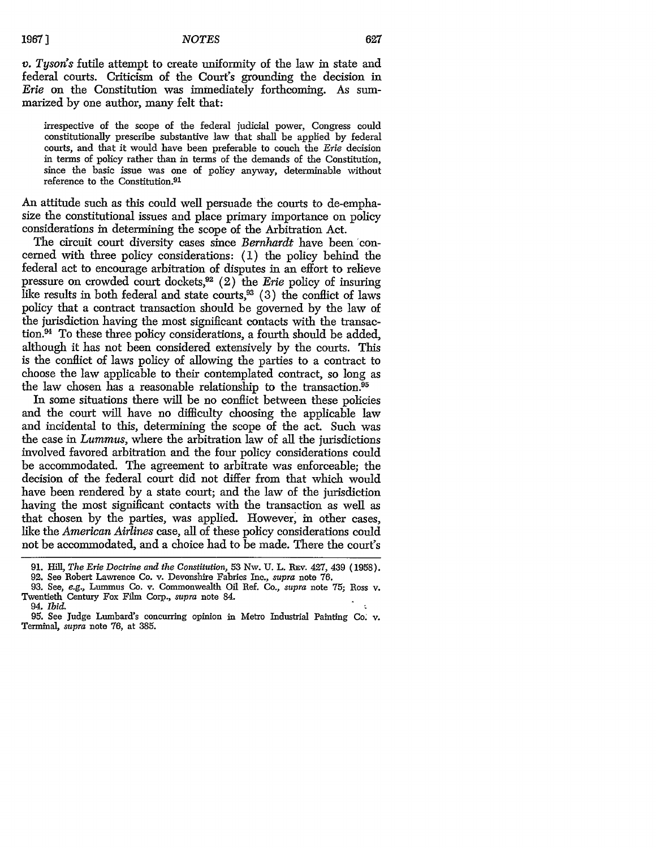#### *NOTES*

*v. Tyson's* futile attempt to create uniformity of the law in state and federal courts. Criticism of the Court's grounding the decision in *Erie* on the Constitution was immediately forthcoming. As summarized by one author, many felt that:

irrespective of the scope of the federal judicial power, Congress could constitutionally prescribe substantive law that shall be applied by federal courts, and that it would have been preferable to couch the *Erie* decision in terms of policy rather than in terms of the demands of the Constitution, since the basic issue was one of policy anyway, determinable without reference to the Constitution.<sup>91</sup>

An attitude such as this could well persuade the courts to de-emphasize the constitutional issues and place primary importance on policy considerations in determining the scope of the Arbitration Act.

The circuit court diversity cases since *Bernhardt* have been concerned with three policy considerations: (1) the policy behind the federal act to encourage arbitration of disputes in an effort to relieve pressure on crowded court dockets,<sup>92</sup> (2) the *Erie* policy of insuring like results in both federal and state courts,93 (3) the conflict of laws policy that a contract transaction should be governed by the law of the jurisdiction having the most significant contacts with the transaction.<sup>94</sup> To these three policy considerations, a fourth should be added, although it has not been considered extensively by the courts. This is the conflict of laws policy of allowing the parties to a contract to choose the law applicable to their contemplated contract, so long as the law chosen has a reasonable relationship to the transaction. <sup>95</sup>

In some situations there will be no conflict between these policies and the court will have no difficulty choosing the applicable law and incidental to this, determining the scope of the act. Such was the case in *Lummus,* where the arbitration law of all the jurisdictions involved favored arbitration and the four policy considerations could be accommodated. The agreement to arbitrate was enforceable; the decision of the federal court did not differ from that which would have been rendered by a state court; and the law of the jurisdiction having the most significant contacts with the transaction as well as that chosen by the parties, was applied. However, in other cases, like the *American Airlines* case, all of these policy considerations could not be accommodated, and a choice had to be made. There the court's

<sup>91.</sup> Hill, *The Erie Doctrine and the Constitution,* 53 Nw. U. L. REv. 427, 439 (1958).

**<sup>92.</sup>** See Robert Lawrence Co. v. Devonshire Fabrics Inc., *supra* note 76.

<sup>93.</sup> See, *e.g.,* Lummus Co. v. Commonwealth Oil Ref. Co., *supra* note 75; Ross v. Twentieth Century Fox Film Corp., *supra* note 84.

<sup>94.</sup> *Ibid.* 95. See Judge Lumbard's concurring opinion in Metro Industrial Painting Co. v. Terminal, *supra* note 76, at 385.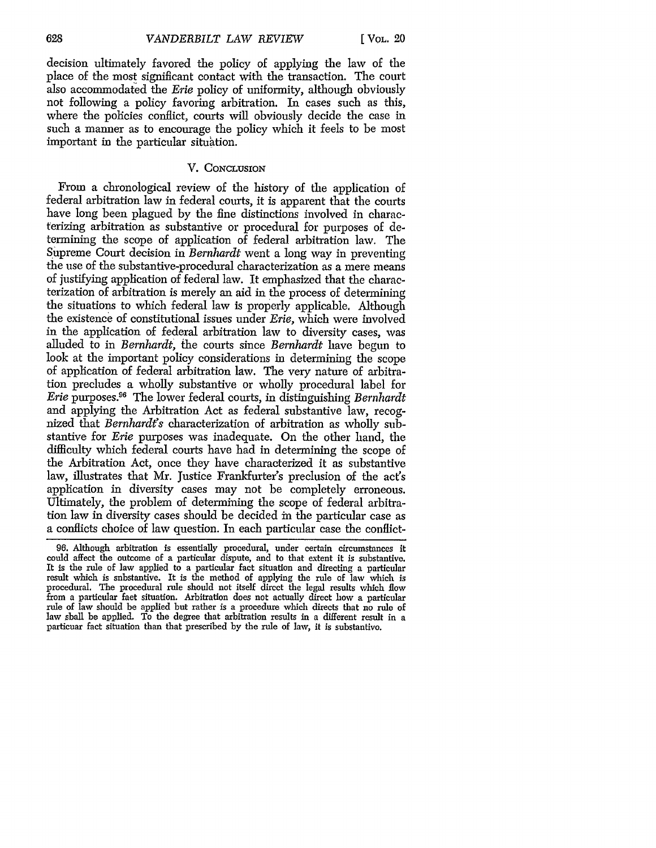decision ultimately favored the policy of applying the law of the place of the most significant contact with the transaction. The court also accommodated the *Erie* policy of uniformity, although obviously not following a policy favoring arbitration. In cases such as this, where the policies conflict, courts will obviously decide the case in such a manner as to encourage the policy which it feels to be most important in the particular situhtion.

# V. CONCLUSION

From a chronological review of the history of the application of federal arbitration law in federal courts, it is apparent that the courts have long been plagued by the fine distinctions involved in characterizing arbitration as substantive or procedural for purposes of determining the scope of application of federal arbitration law. The Supreme Court decision in *Bernhardt* went a long way in preventing the use of the substantive-procedural characterization as a mere means of justifying application of federal law. It emphasized that the characterization of arbitration is merely an aid in the process of determining the situations to which federal law is properly applicable. Although the existence of constitutional issues under *Erie,* which were involved in the application of federal arbitration law to diversity cases, was alluded to in *Bernhardt, ihe* courts since *Bernhardt* have begun to look at the important policy considerations in determining the scope of application of federal arbitration law. The very nature of arbitration precludes a wholly substantive or wholly procedural label for *Erie* purposes. 96 The lower federal courts, in distinguishing *Bernhardt* and applying the Arbitration Act as federal substantive law, recognized that *Bernhardt's* characterization of arbitration as wholly substantive for *Erie* purposes was inadequate. On the other hand, the difficulty which federal courts have bad in determining the scope of the Arbitration Act, once they have characterized it as substantive law, illustrates that Mr. Justice Frankfurter's preclusion of the act's application in diversity cases may not be completely erroneous. Ultimately, the problem of determining the scope of federal arbitration law in diversity cases should be decided in the particular case as a conflicts choice of law question. In each particular case the conflict-

<sup>96.</sup> Although arbitration is essentially procedural, under certain circumstances it could affect the outcome of a particular dispute, and to that extent it is substantive. It is the rule of law applied to a particular fact situation and directing a particular result which is substantive. It is the method of applying the rule of law which is procedural. The procedural rule should not itself direct the legal results which flow from a particular fact situation. Arbitration does not actually direct how a particular rule of law should be applied but rather is a procedure which directs that no rule of law shall be applied. To the degree that arbitration results in a different result in a particuar fact situation than that prescribed by the rule of law, it is substantive.